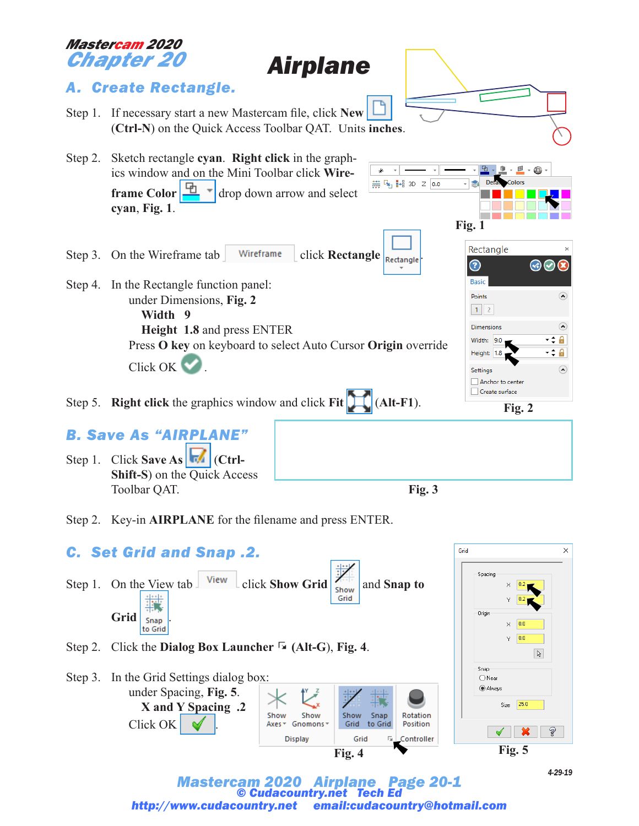### *Mastercam 2020 Chapter 20*

*Airplane*





*Mastercam 2020 Airplane Page 20-1 © Cudacountry.net http://www.cudacountry.net email:cudacountry@hotmail.com*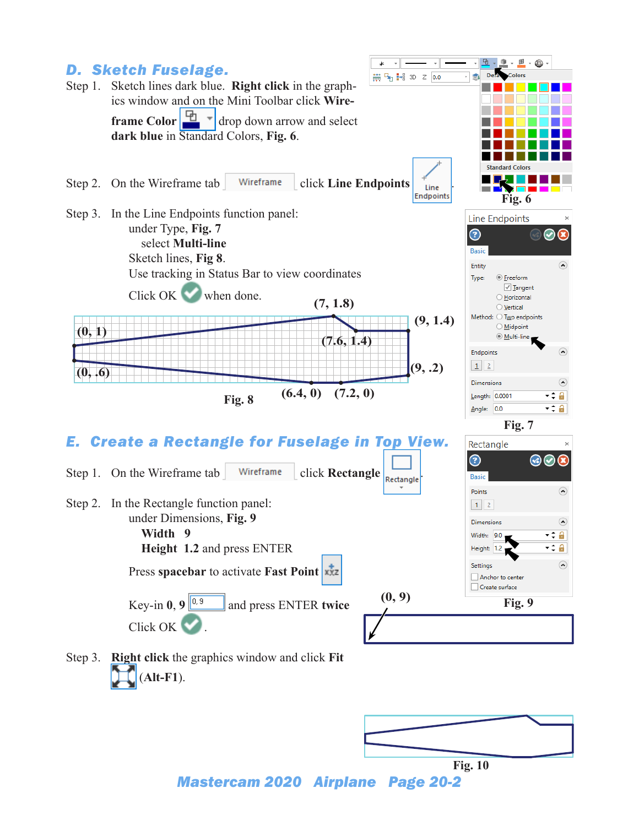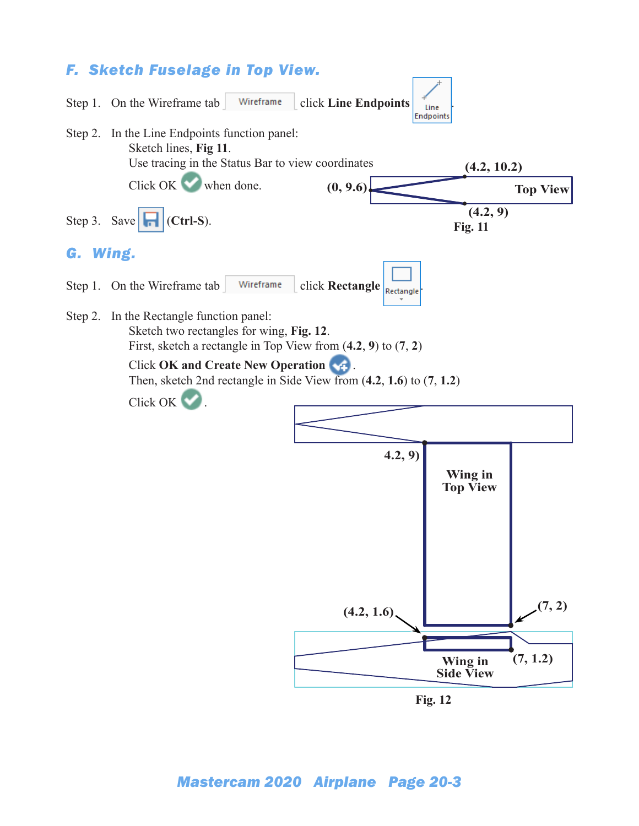# *F. Sketch Fuselage in Top View.*



**Fig. 12**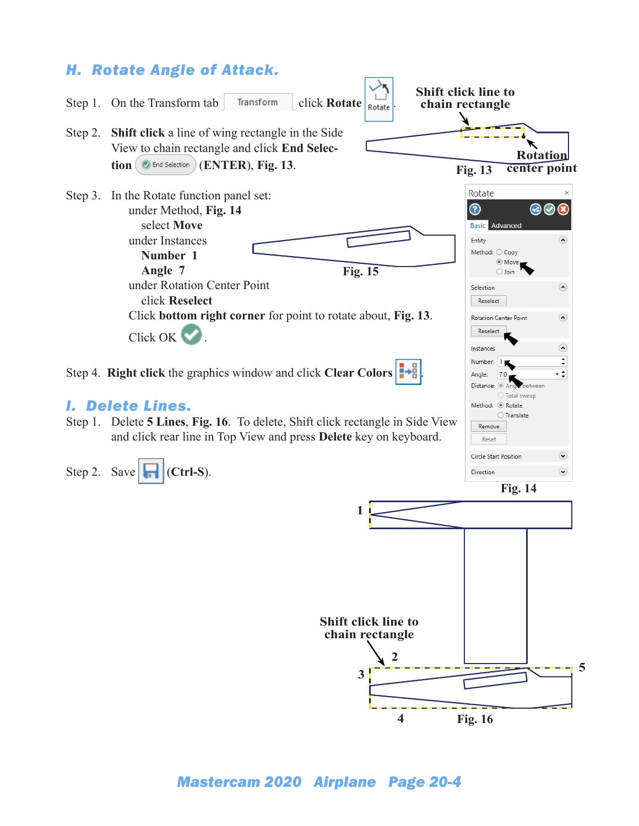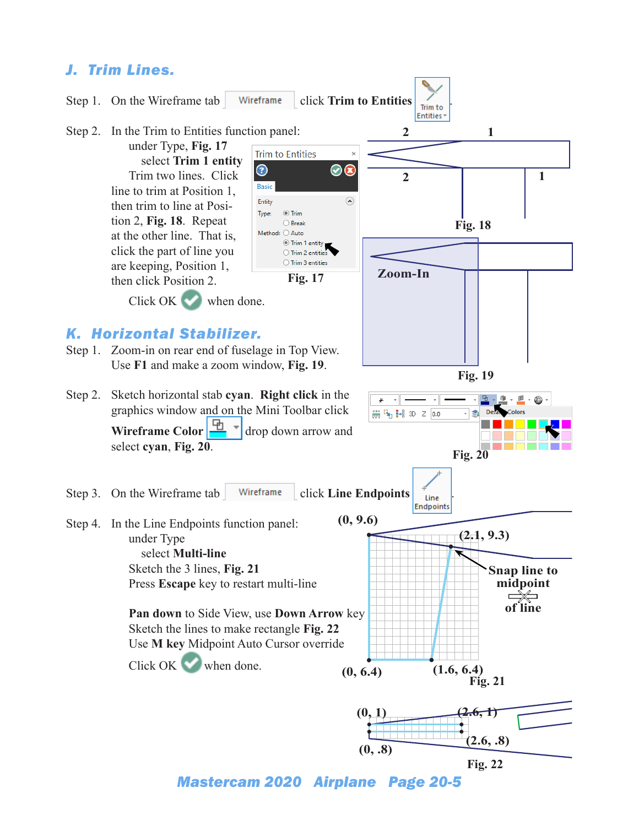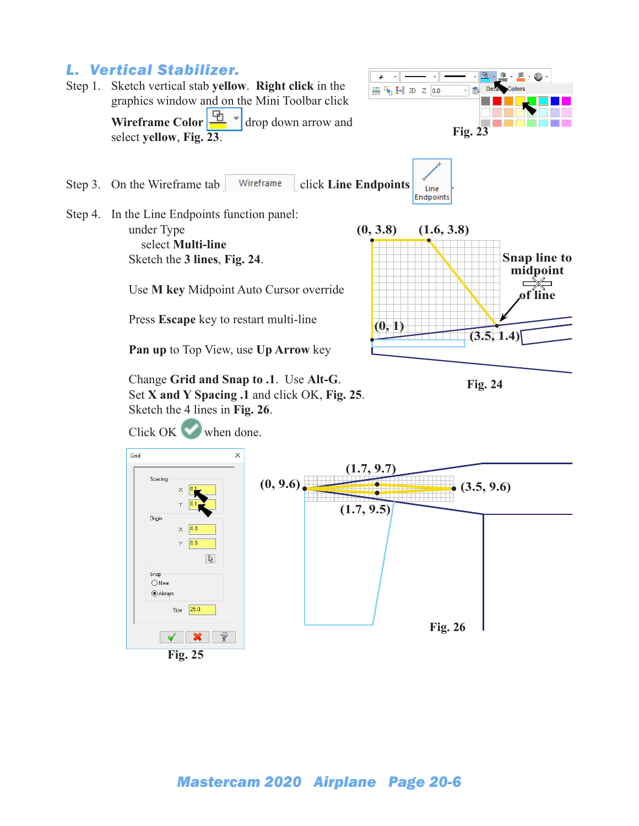### *L. Vertical Stabilizer.*

Step 1. Sketch vertical stab **yellow**. **Right click** in the graphics window and on the Mini Toolbar click

**Wireframe Color**  $\frac{\Box}{\Box}$   $\sim$  drop down arrow and select **yellow**, **Fig. 23**.



Step 3. On the Wireframe tab Wireframe click **Line Endpoints**  $\int_{\text{Line}}^{\infty}$ Endpoints

Step 4. In the Line Endpoints function panel: under Type select **Multi-line** Sketch the **3 lines**, **Fig. 24**.

Click OK when done.

Use **M key** Midpoint Auto Cursor override

Press **Escape** key to restart multi-line

**Pan up** to Top View, use **Up Arrow** key

Change **Grid and Snap to .1**. Use **Alt-G**. Set **X and Y Spacing .1** and click OK, **Fig. 25**. Sketch the 4 lines in **Fig. 26**.



**Fig. 24**



**Fig. 25**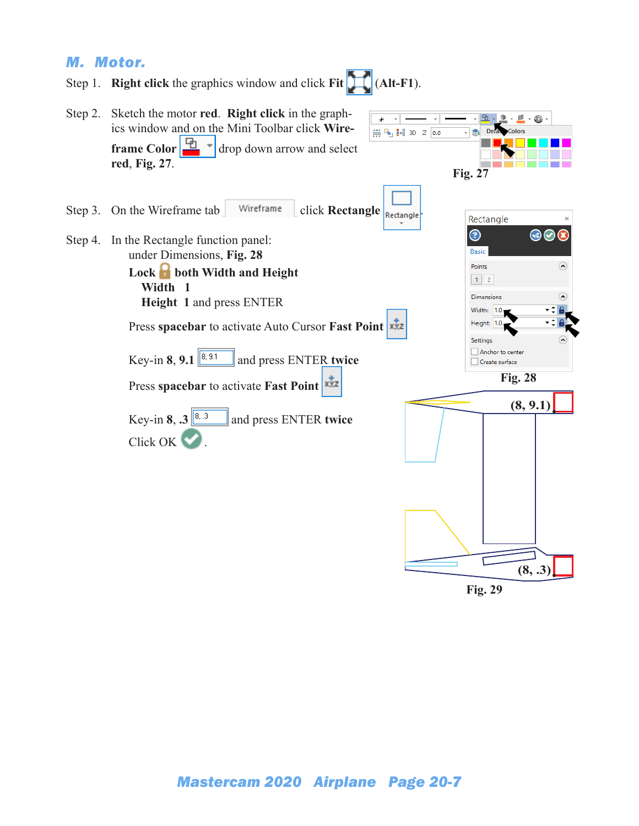#### *M. Motor.*

- Step 1. **Right click** the graphics window and click **Fit** (**Alt-F1**).
- Step 2. Sketch the motor **red**. **Right click** in the graph- $\mathbb{R}$   $\cdot$   $\mathbb{H}$   $\cdot$  $_{\star}$ Ļ 鱼 O) ics window and on the Mini Toolbar click **Wire-**₩ 4 3D Z 0.0 쵧 De **frame Color**  $\begin{array}{|c|c|} \hline \mathbf{L} & \mathbf{I} \end{array}$  drop down arrow and select **red**, **Fig. 27**. **Fig. 27**Step 3. On the Wireframe tab  $\int$  Wireframe click **Rectangle**  $\int_{\text{Reduced}}$ Rectangle  $\odot$  $\odot$ Step 4. In the Rectangle function panel: Basic under Dimensions, **Fig. 28** Points  $\odot$ Lock **both Width and Height**  $1$  2  **Width 1** Dimensions  $\Omega$ **Height 1** and press ENTER Width: 1.0 ۰ Height: 1.0 Press **spacebar** to activate Auto Cursor **Fast Point**  Settings Anchor to center Key-in **8**, **9.1**  $\left[\frac{8, 9.1}{8}\right]$  and press ENTER **twice** Create surface **Fig. 28** Press **spacebar** to activate **Fast Point (8, 9.1)** Key-in **8**,  $\mathbf{3}$   $\begin{bmatrix} 8 & 3 \\ 3 & 1 \end{bmatrix}$  and press ENTER **twice** Click OK ...

**Fig. 29**

**(8, .3)**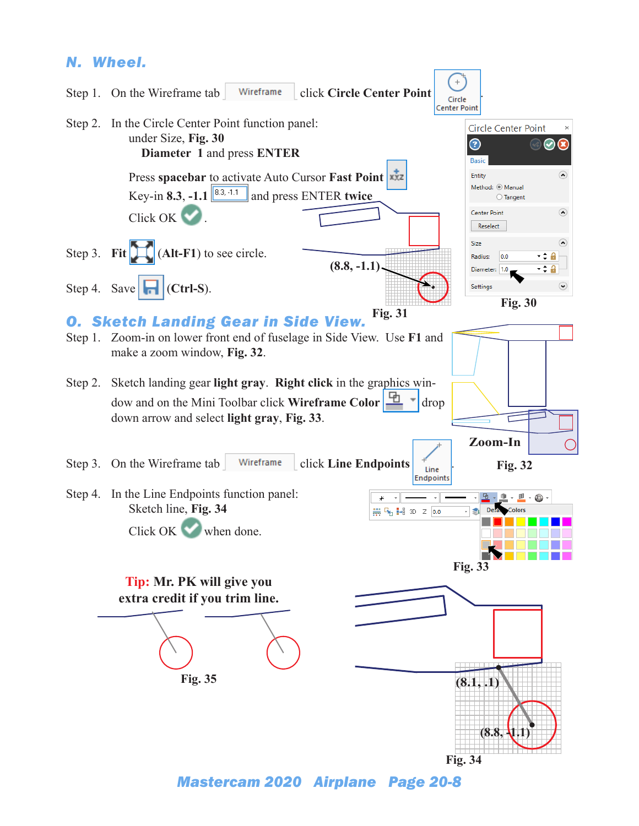## *N. Wheel.*

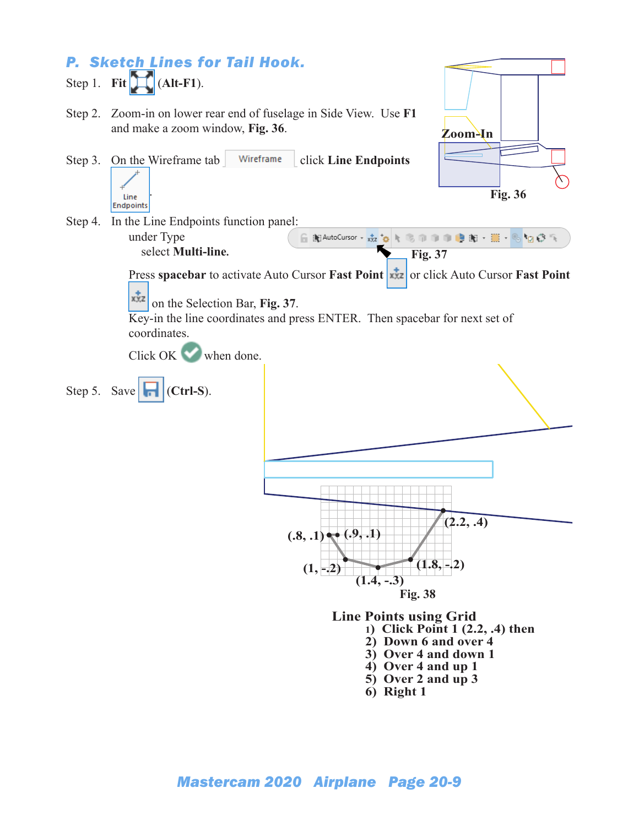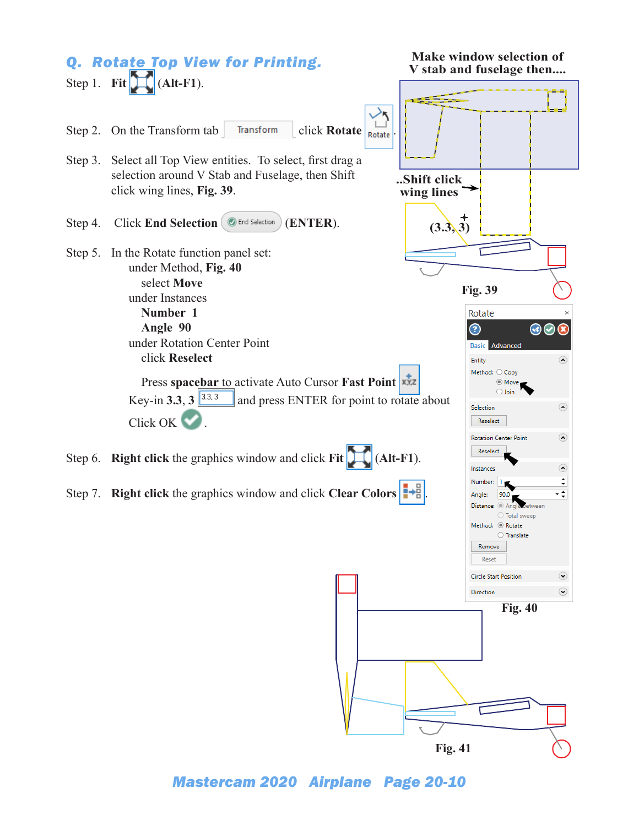